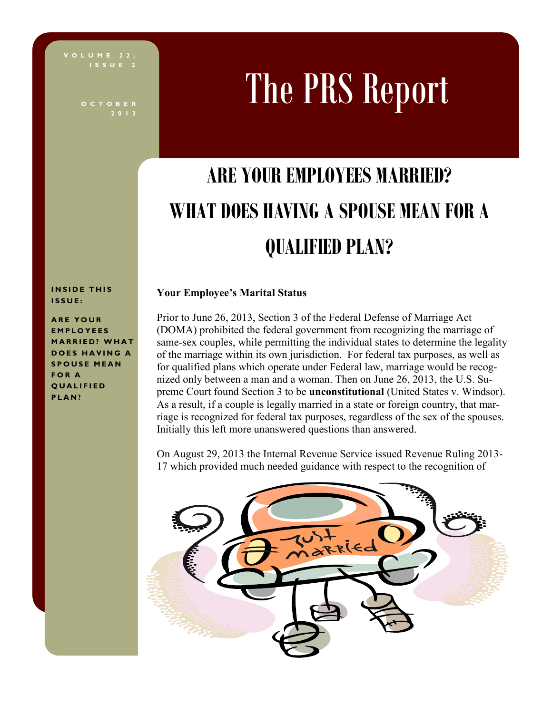**I S S U E 2**

**2 0 1 3**

# The PRS Report

# **ARE YOUR EMPLOYEES MARRIED? WHAT DOES HAVING A SPOUSE MEAN FOR A QUALIFIED PLAN?**

**INSIDE THIS I S S U E :**

**ARE YOUR E M P L O Y E E S MARRIED? WHAT DOES HAVING A S P O U S E M E A N F O R A Q U A L I F I E D P L A N ?**

#### **Your Employee's Marital Status**

Prior to June 26, 2013, Section 3 of the Federal Defense of Marriage Act (DOMA) prohibited the federal government from recognizing the marriage of same-sex couples, while permitting the individual states to determine the legality of the marriage within its own jurisdiction. For federal tax purposes, as well as for qualified plans which operate under Federal law, marriage would be recognized only between a man and a woman. Then on June 26, 2013, the U.S. Supreme Court found Section 3 to be **unconstitutional** (United States v. Windsor). As a result, if a couple is legally married in a state or foreign country, that marriage is recognized for federal tax purposes, regardless of the sex of the spouses. Initially this left more unanswered questions than answered.

On August 29, 2013 the Internal Revenue Service issued Revenue Ruling 2013- 17 which provided much needed guidance with respect to the recognition of

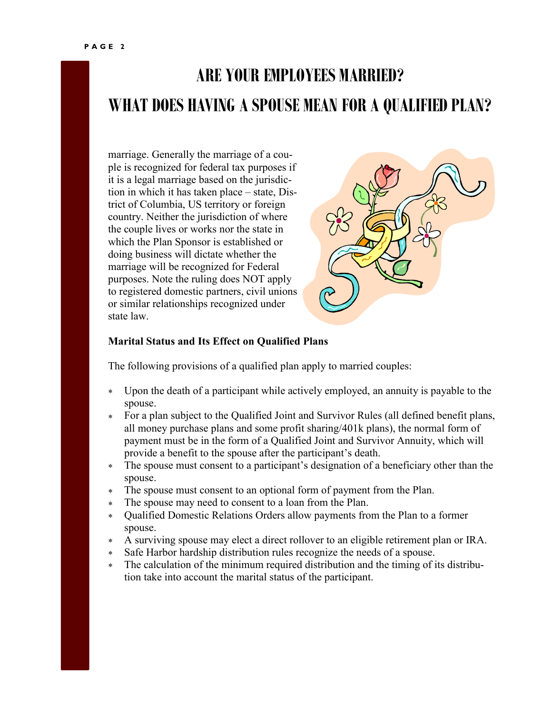## **ARE YOUR EMPLOYEES MARRIED? WHAT DOES HAVING A SPOUSE MEAN FOR A QUALIFIED PLAN?**

marriage. Generally the marriage of a couple is recognized for federal tax purposes if it is a legal marriage based on the jurisdiction in which it has taken place – state, District of Columbia, US territory or foreign country. Neither the jurisdiction of where the couple lives or works nor the state in which the Plan Sponsor is established or doing business will dictate whether the marriage will be recognized for Federal purposes. Note the ruling does NOT apply to registered domestic partners, civil unions or similar relationships recognized under state law.



#### **Marital Status and Its Effect on Qualified Plans**

The following provisions of a qualified plan apply to married couples:

- $\ast$ Upon the death of a participant while actively employed, an annuity is payable to the spouse.
- For a plan subject to the Qualified Joint and Survivor Rules (all defined benefit plans, all money purchase plans and some profit sharing/401k plans), the normal form of payment must be in the form of a Qualified Joint and Survivor Annuity, which will provide a benefit to the spouse after the participant's death.
- The spouse must consent to a participant's designation of a beneficiary other than the spouse.
- The spouse must consent to an optional form of payment from the Plan.  $\star$
- The spouse may need to consent to a loan from the Plan.
- Qualified Domestic Relations Orders allow payments from the Plan to a former  $\ast$ spouse.
- A surviving spouse may elect a direct rollover to an eligible retirement plan or IRA.  $\star$
- Safe Harbor hardship distribution rules recognize the needs of a spouse.
- The calculation of the minimum required distribution and the timing of its distribution take into account the marital status of the participant.